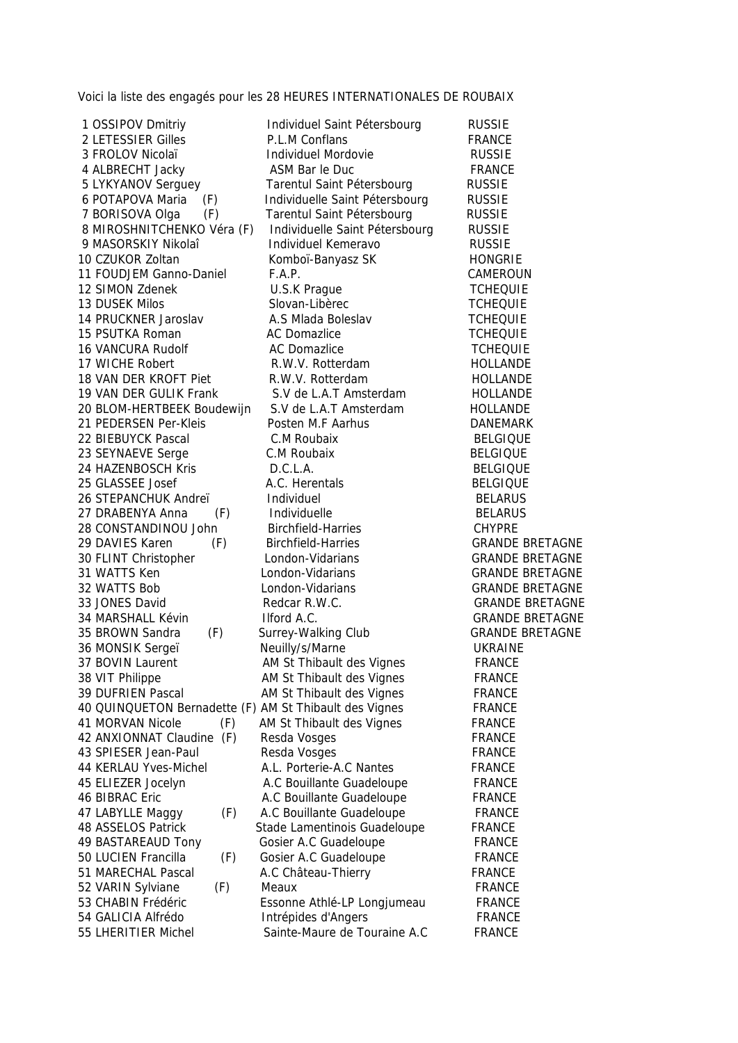Voici la liste des engagés pour les 28 HEURES INTERNATIONALES DE ROUBAIX

1 OSSIPOV Dmitriy **Individuel Saint Pétersbourg** RUSSIE

2 LETESSIER Gilles **P.L.M Conflans** FRANCE 3 FROLOV Nicolaï Individuel Mordovie RUSSIE 4 ALBRECHT Jacky ASM Bar le Duc FRANCE 5 LYKYANOV Serguey Tarentul Saint Pétersbourg RUSSIE 6 POTAPOVA Maria (F) Individuelle Saint Pétersbourg RUSSIE 7 BORISOVA Olga (F) Tarentul Saint Pétersbourg RUSSIE 8 MIROSHNITCHENKO Véra (F) Individuelle Saint Pétersbourg RUSSIE 9 MASORSKIY Nikolaî **Individuel Kemeravo** RUSSIE 10 CZUKOR Zoltan Komboï-Banyasz SK HONGRIE 11 FOUDJEM Ganno-Daniel F.A.P. CAMEROUN 12 SIMON Zdenek **U.S.K Prague** TCHEQUIE 13 DUSEK Milos Slovan-Libèrec TCHEQUIE 14 PRUCKNER Jaroslav **A.S Mlada Boleslav** TCHEQUIE 15 PSUTKA Roman AC Domazlice TCHEQUIE 16 VANCURA Rudolf **AC Domazlice** AC Domazlice **TCHEQUIE** 17 WICHE Robert **R.W.V. Rotterdam** HOLLANDE 18 VAN DER KROFT Piet **R.W.V. Rotterdam** FOLLANDE 19 VAN DER GULIK Frank S.V de L.A.T Amsterdam FIOLLANDE<br>20 BI OM-HERTBEEK Boudewiin S.V de L.A.T Amsterdam FIOLLANDE 20 BLOM-HERTBEEK Boudewijn S.V de L.A.T Amsterdam FIOLLANDE 21 PEDERSEN Per-Kleis Posten M.F Aarhus DANEMARK 22 BIEBUYCK Pascal C.M Roubaix BELGIQUE 23 SEYNAEVE Serge C.M Roubaix C.M Soubaix BELGIQUE 24 HAZENBOSCH Kris D.C.L.A. BELGIQUE 25 GLASSEE Josef **A.C. Herentals** BELGIQUE 26 STEPANCHUK Andreï **Individuel BELARUS** BELARUS 27 DRABENYA Anna (F) Individuelle annum BELARUS 28 CONSTANDINOU John Birchfield-Harries CHYPRE 29 DAVIES Karen (F) Birchfield-Harries GRANDE BRETAGNE 30 FLINT Christopher London-Vidarians GRANDE BRETAGNE 31 WATTS Ken London-Vidarians CRANDE BRETAGNE 32 WATTS Bob London-Vidarians GRANDE BRETAGNE 33 JONES David **Redcar R.W.C.** GRANDE BRETAGNE 34 MARSHALL Kévin Ilford A.C. GRANDE BRETAGNE 35 BROWN Sandra (F) Surrey-Walking Club GRANDE BRETAGNE 36 MONSIK Sergeï Neuilly/s/Marne UKRAINE 37 BOVIN Laurent **AM St Thibault des Vignes** FRANCE 38 VIT Philippe AM St Thibault des Vignes FRANCE 39 DUFRIEN Pascal AM St Thibault des Vignes FRANCE 40 QUINQUETON Bernadette (F) AM St Thibault des Vignes FRANCE 41 MORVAN Nicole (F) AM St Thibault des Vignes FRANCE 42 ANXIONNAT Claudine (F) Resda Vosges FRANCE 43 SPIESER Jean-Paul Resda Vosges FRANCE 44 KERLAU Yves-Michel A.L. Porterie-A.C Nantes FRANCE 45 ELIEZER Jocelyn A.C Bouillante Guadeloupe FRANCE 46 BIBRAC Eric **A.C Bouillante Guadeloupe** FRANCE 47 LABYLLE Maggy (F) A.C Bouillante Guadeloupe FRANCE 48 ASSELOS Patrick Stade Lamentinois Guadeloupe FRANCE 49 BASTAREAUD Tony Gosier A.C Guadeloupe FRANCE 50 LUCIEN Francilla (F) Gosier A.C Guadeloupe FRANCE 51 MARECHAL Pascal **A.C Château-Thierry FRANCE** 52 VARIN Sylviane (F) Meaux and the sylviane of the Meaux and the Second Second Second Second Second Second Se 53 CHABIN Frédéric Essonne Athlé-LP Longjumeau FRANCE 54 GALICIA Alfrédo Intrépides d'Angers FRANCE 55 LHERITIER Michel Sainte-Maure de Touraine A.C FRANCE